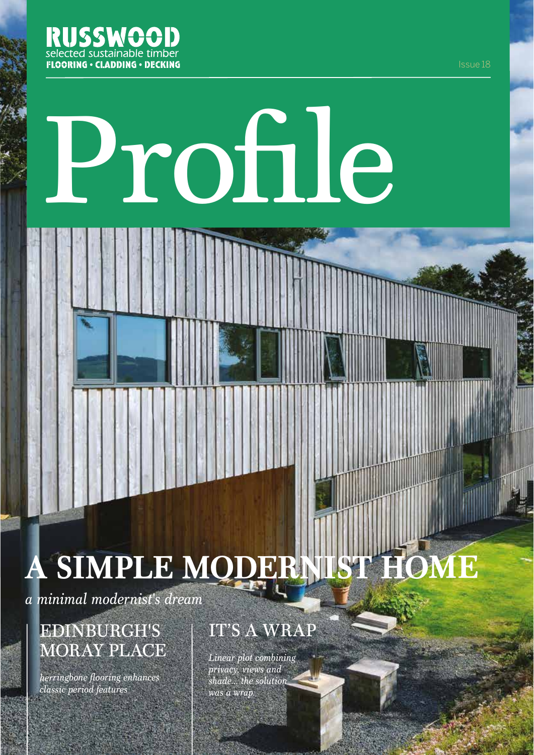

Issue 18

# Profile

# **A SIMPLE MODERNIST HOME**

*a minimal modernist's dream*

EDINBURGH'S MORAY PLACE

*herringbone flooring enhances classic period features*

## IT'S A WRAP

*Linear plot combining privacy, views and shade... the solution was a wrap.*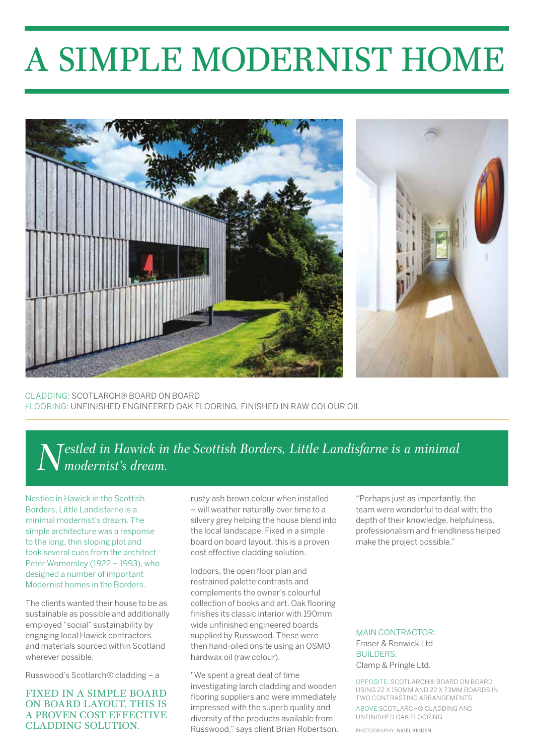## A SIMPLE MODERNIST HOME



CLADDING: SCOTLARCH® BOARD ON BOARD FLOORING: UNFINISHED ENGINEERED OAK FLOORING, FINISHED IN RAW COLOUR OIL

# *Nestled in Hawick in the Scottish Borders, Little Landisfarne is a minimal modernist's dream.*

Nestled in Hawick in the Scottish Borders, Little Landisfarne is a minimal modernist's dream. The simple architecture was a response to the long, thin sloping plot and took several cues from the architect Peter Womersley (1922 – 1993), who designed a number of important Modernist homes in the Borders.

The clients wanted their house to be as sustainable as possible and additionally employed "social" sustainability by engaging local Hawick contractors and materials sourced within Scotland wherever possible.

Russwood's Scotlarch® cladding – a

FIXED IN A SIMPLE BOARD ON BOARD LAYOUT, THIS IS A PROVEN COST EFFECTIVE CLADDING SOLUTION.

rusty ash brown colour when installed – will weather naturally over time to a silvery grey helping the house blend into the local landscape. Fixed in a simple board on board layout, this is a proven cost effective cladding solution.

Indoors, the open floor plan and restrained palette contrasts and complements the owner's colourful collection of books and art. Oak flooring finishes its classic interior with 190mm wide unfinished engineered boards supplied by Russwood. These were then hand-oiled onsite using an OSMO hardwax oil (raw colour).

"We spent a great deal of time investigating larch cladding and wooden flooring suppliers and were immediately impressed with the superb quality and diversity of the products available from Russwood," says client Brian Robertson. "Perhaps just as importantly, the team were wonderful to deal with; the depth of their knowledge, helpfulness, professionalism and friendliness helped make the project possible."

## MAIN CONTRACTOR:

#### Fraser & Renwick Ltd **BUILDERS:** Clamp & Pringle Ltd.

OPPOSITE: SCOTLARCH® BOARD ON BOARD USING 22 X 150MM AND 22 X 73MM BOARDS IN TWO CONTRASTING ARRANGEMENTS. ABOVE:SCOTLARCH® CLADDING AND UNFINISHED OAK FLOORING

PHOTOGRAPHY: NIGEL RIGDEN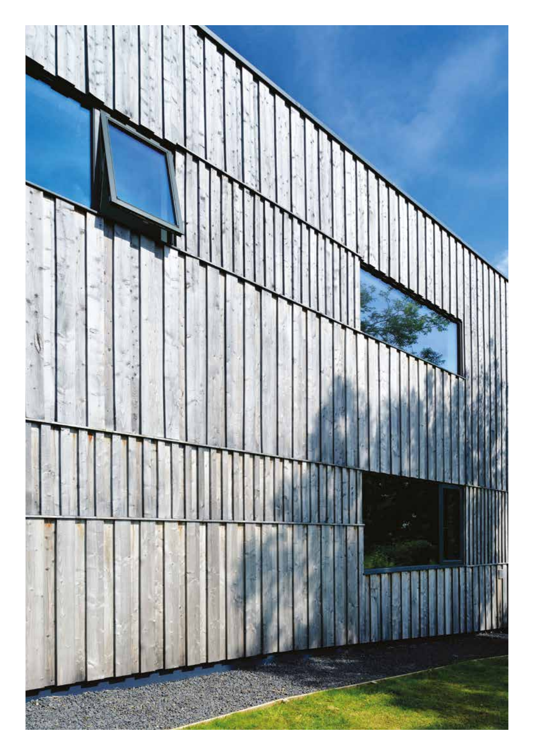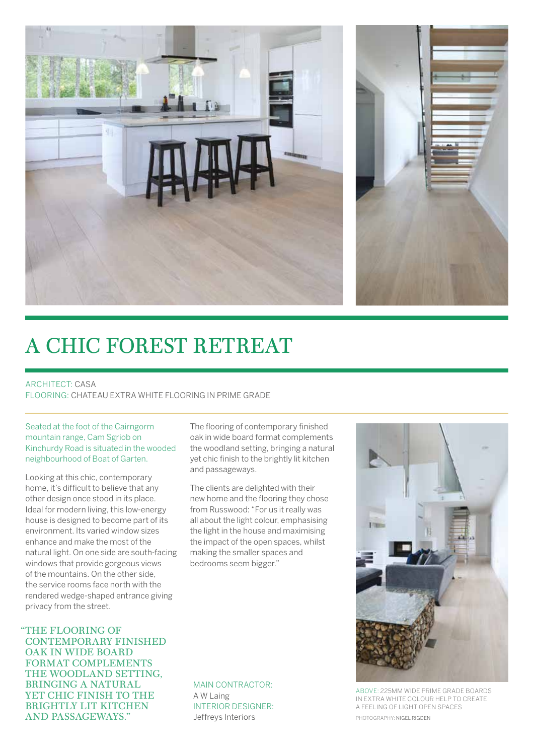

## A CHIC FOREST RETREAT

ARCHITECT: CASA FLOORING: CHATEAU EXTRA WHITE FLOORING IN PRIME GRADE

### Seated at the foot of the Cairngorm mountain range, Cam Sgriob on Kinchurdy Road is situated in the wooded neighbourhood of Boat of Garten.

Looking at this chic, contemporary home, it's difficult to believe that any other design once stood in its place. Ideal for modern living, this low-energy house is designed to become part of its environment. Its varied window sizes enhance and make the most of the natural light. On one side are south-facing windows that provide gorgeous views of the mountains. On the other side, the service rooms face north with the rendered wedge-shaped entrance giving privacy from the street.

"THE FLOORING OF CONTEMPORARY FINISHED OAK IN WIDE BOARD FORMAT COMPLEMENTS THE WOODLAND SETTING, BRINGING A NATURAL YET CHIC FINISH TO THE BRIGHTLY LIT KITCHEN AND PASSAGEWAYS."

The flooring of contemporary finished oak in wide board format complements the woodland setting, bringing a natural yet chic finish to the brightly lit kitchen and passageways.

The clients are delighted with their new home and the flooring they chose from Russwood: "For us it really was all about the light colour, emphasising the light in the house and maximising the impact of the open spaces, whilst making the smaller spaces and bedrooms seem bigger."

MAIN CONTRACTOR: A W Laing INTERIOR DESIGNER: Jeffreys Interiors



ABOVE: 225MM WIDE PRIME GRADE BOARDS IN EXTRA WHITE COLOUR HELP TO CREATE A FEELING OF LIGHT OPEN SPACES PHOTOGRAPHY: NIGEL RIGDEN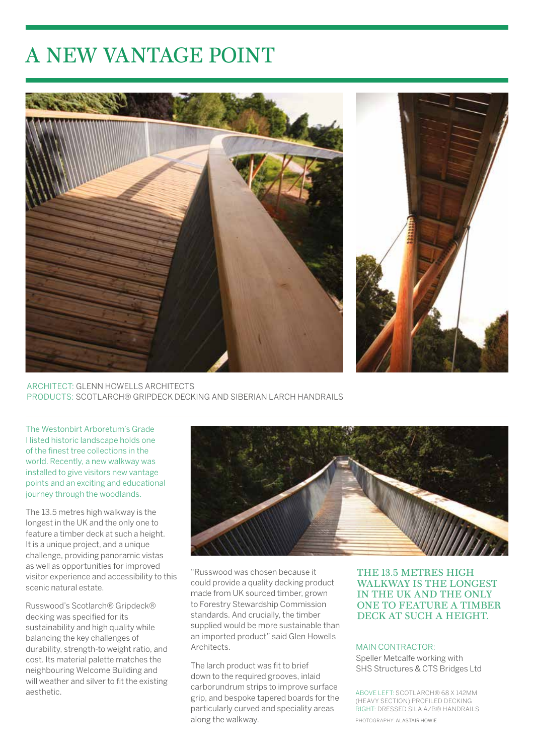## A NEW VANTAGE POINT



ARCHITECT: GLENN HOWELLS ARCHITECTS PRODUCTS: SCOTLARCH® GRIPDECK DECKING AND SIBERIAN LARCH HANDRAILS

The Westonbirt Arboretum's Grade I listed historic landscape holds one of the finest tree collections in the world. Recently, a new walkway was installed to give visitors new vantage points and an exciting and educational journey through the woodlands.

The 13.5 metres high walkway is the longest in the UK and the only one to feature a timber deck at such a height. It is a unique project, and a unique challenge, providing panoramic vistas as well as opportunities for improved visitor experience and accessibility to this scenic natural estate.

Russwood's Scotlarch® Gripdeck® decking was specified for its sustainability and high quality while balancing the key challenges of durability, strength-to weight ratio, and cost. Its material palette matches the neighbouring Welcome Building and will weather and silver to fit the existing



"Russwood was chosen because it could provide a quality decking product made from UK sourced timber, grown to Forestry Stewardship Commission standards. And crucially, the timber supplied would be more sustainable than an imported product" said Glen Howells Architects.

aesthetic. about the strips to improve surface above LEFT: SCOTLARCH® 68 X 142MM The larch product was fit to brief down to the required grooves, inlaid carborundrum strips to improve surface grip, and bespoke tapered boards for the particularly curved and speciality areas along the walkway.

THE 13.5 METRES HIGH WALKWAY IS THE LONGEST IN THE UK AND THE ONLY ONE TO FEATURE A TIMBER DECK AT SUCH A HEIGHT.

#### MAIN CONTRACTOR:

Speller Metcalfe working with SHS Structures & CTS Bridges Ltd

(HEAVY SECTION) PROFILED DECKING RIGHT: DRESSED SILA A/B® HANDRAILS PHOTOGRAPHY: ALASTAIR HOWIE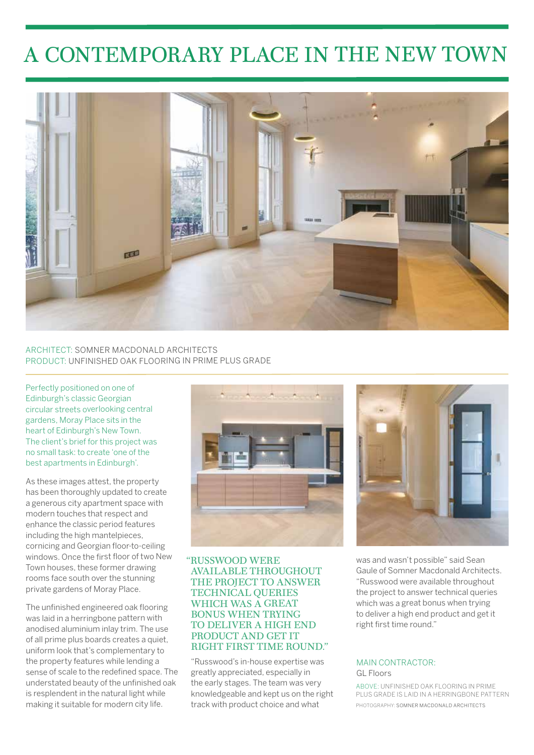## A CONTEMPORARY PLACE IN THE NEW TOWN



ARCHITECT: SOMNER MACDONALD ARCHITECTS PRODUCT: UNFINISHED OAK FLOORING IN PRIME PLUS GRADE

Perfectly positioned on one of Edinburgh's classic Georgian circular streets overlooking central gardens, Moray Place sits in the heart of Edinburgh's New Town. The client's brief for this project was no small task: to create 'one of the best apartments in Edinburgh'.

As these images attest, the property has been thoroughly updated to create a generous city apartment space with modern touches that respect and enhance the classic period features including the high mantelpieces, cornicing and Georgian floor-to-ceiling windows. Once the first floor of two New Town houses, these former drawing rooms face south over the stunning private gardens of Moray Place.

The unfinished engineered oak flooring was laid in a herringbone pattern with anodised aluminium inlay trim. The use of all prime plus boards creates a quiet, uniform look that's complementary to the property features while lending a sense of scale to the redefined space. The understated beauty of the unfinished oak is resplendent in the natural light while making it suitable for modern city life.



#### "RUSSWOOD WERE AVAILABLE THROUGHOUT THE PROJECT TO ANSWER TECHNICAL QUERIES WHICH WAS A GREAT BONUS WHEN TRYING TO DELIVER A HIGH END PRODUCT AND GET IT RIGHT FIRST TIME ROUND."

"Russwood's in-house expertise was greatly appreciated, especially in the early stages. The team was very knowledgeable and kept us on the right track with product choice and what



was and wasn't possible" said Sean Gaule of Somner Macdonald Architects. "Russwood were available throughout the project to answer technical queries which was a great bonus when trying to deliver a high end product and get it right first time round."

#### MAIN CONTRACTOR: GL Floors

ABOVE: UNFINISHED OAK FLOORING IN PRIME PLUS GRADE IS LAID IN A HERRINGBONE PATTERN PHOTOGRAPHY: SOMNER MACDONALD ARCHITECTS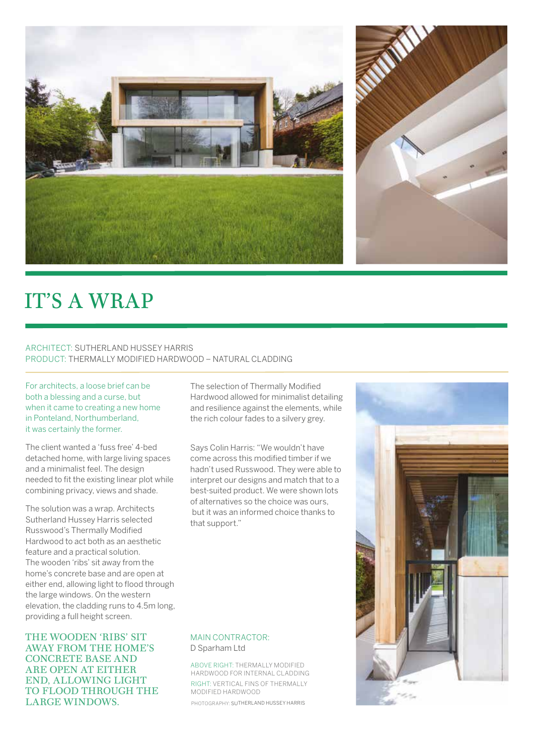

## IT'S A WRAP

ARCHITECT: SUTHERLAND HUSSEY HARRIS PRODUCT: THERMALLY MODIFIED HARDWOOD – NATURAL CLADDING

For architects, a loose brief can be both a blessing and a curse, but when it came to creating a new home in Ponteland, Northumberland, it was certainly the former.

The client wanted a 'fuss free' 4-bed detached home, with large living spaces and a minimalist feel. The design needed to fit the existing linear plot while combining privacy, views and shade.

The solution was a wrap. Architects Sutherland Hussey Harris selected Russwood's Thermally Modified Hardwood to act both as an aesthetic feature and a practical solution. The wooden 'ribs' sit away from the home's concrete base and are open at either end, allowing light to flood through the large windows. On the western elevation, the cladding runs to 4.5m long, providing a full height screen.

THE WOODEN 'RIBS' SIT AWAY FROM THE HOME'S CONCRETE BASE AND ARE OPEN AT EITHER END, ALLOWING LIGHT TO FLOOD THROUGH THE LARGE WINDOWS.

The selection of Thermally Modified Hardwood allowed for minimalist detailing and resilience against the elements, while the rich colour fades to a silvery grey.

Says Colin Harris: "We wouldn't have come across this modified timber if we hadn't used Russwood. They were able to interpret our designs and match that to a best-suited product. We were shown lots of alternatives so the choice was ours, but it was an informed choice thanks to that support."

#### MAIN CONTRACTOR: D Sparham Ltd

ABOVE RIGHT: THERMALLY MODIFIED HARDWOOD FOR INTERNAL CLADDING RIGHT: VERTICAL FINS OF THERMALLY MODIFIED HARDWOOD PHOTOGRAPHY: SUTHERLAND HUSSEY HARRIS